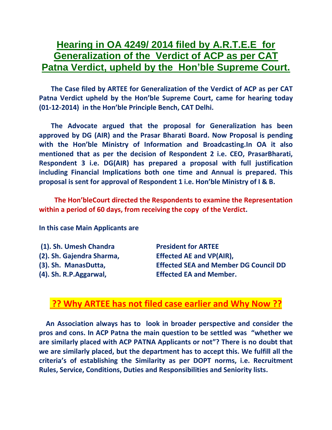## **Hearing in OA 4249/ 2014 filed by A.R.T.E.E for Generalization of the Verdict of ACP as per CAT Patna Verdict, upheld by the Hon'ble Supreme Court.**

 **The Case filed by ARTEE for Generalization of the Verdict of ACP as per CAT Patna Verdict upheld by the Hon'ble Supreme Court, came for hearing today (01-12-2014) in the Hon'ble Principle Bench, CAT Delhi.**

 **The Advocate argued that the proposal for Generalization has been approved by DG (AIR) and the Prasar Bharati Board. Now Proposal is pending with the Hon'ble Ministry of Information and Broadcasting.In OA it also mentioned that as per the decision of Respondent 2 i.e. CEO, PrasarBharati, Respondent 3 i.e. DG(AIR) has prepared a proposal with full justification including Financial Implications both one time and Annual is prepared. This proposal is sent for approval of Respondent 1 i.e. Hon'ble Ministry of I & B.**

 **The Hon'bleCourt directed the Respondents to examine the Representation within a period of 60 days, from receiving the copy of the Verdict.**

**In this case Main Applicants are** 

**(1). Sh. Umesh Chandra President for ARTEE (2). Sh. Gajendra Sharma, Effected AE and VP(AIR), (3). Sh. ManasDutta, Effected SEA and Member DG Council DD (4). Sh. R.P.Aggarwal, Effected EA and Member.**

## **?? Why ARTEE has not filed case earlier and Why Now ??**

 **An Association always has to look in broader perspective and consider the pros and cons. In ACP Patna the main question to be settled was "whether we are similarly placed with ACP PATNA Applicants or not"? There is no doubt that we are similarly placed, but the department has to accept this. We fulfill all the criteria's of establishing the Similarity as per DOPT norms, i.e. Recruitment Rules, Service, Conditions, Duties and Responsibilities and Seniority lists.**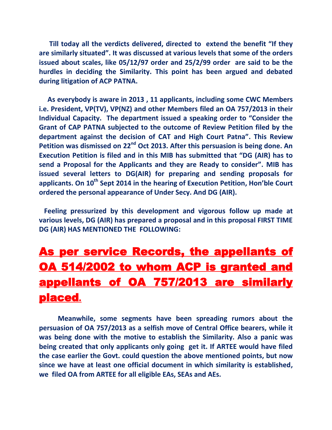**Till today all the verdicts delivered, directed to extend the benefit "If they are similarly situated". It was discussed at various levels that some of the orders issued about scales, like 05/12/97 order and 25/2/99 order are said to be the hurdles in deciding the Similarity. This point has been argued and debated during litigation of ACP PATNA.**

 **As everybody is aware in 2013 , 11 applicants, including some CWC Members i.e. President, VP(TV), VP(NZ) and other Members filed an OA 757/2013 in their Individual Capacity. The department issued a speaking order to "Consider the Grant of CAP PATNA subjected to the outcome of Review Petition filed by the department against the decision of CAT and High Court Patna". This Review Petition was dismissed on 22nd Oct 2013. After this persuasion is being done. An Execution Petition is filed and in this MIB has submitted that "DG (AIR) has to send a Proposal for the Applicants and they are Ready to consider". MIB has issued several letters to DG(AIR) for preparing and sending proposals for applicants. On 10th Sept 2014 in the hearing of Execution Petition, Hon'ble Court ordered the personal appearance of Under Secy. And DG (AIR).** 

 **Feeling pressurized by this development and vigorous follow up made at various levels, DG (AIR) has prepared a proposal and in this proposal FIRST TIME DG (AIR) HAS MENTIONED THE FOLLOWING:**

## As per service Records, the appellants of OA 514/2002 to whom ACP is granted and appellants of OA 757/2013 are similarly placed**.**

 **Meanwhile, some segments have been spreading rumors about the persuasion of OA 757/2013 as a selfish move of Central Office bearers, while it was being done with the motive to establish the Similarity. Also a panic was being created that only applicants only going get it. If ARTEE would have filed the case earlier the Govt. could question the above mentioned points, but now since we have at least one official document in which similarity is established, we filed OA from ARTEE for all eligible EAs, SEAs and AEs.**